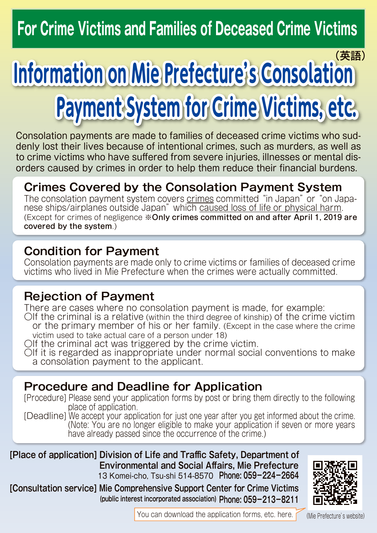## **For Crime Victims and Families of Deceased Crime Victims**

# **Information on Mie Prefecture's Consolation Payment System for Crime Victims, etc.** (英語)

denly lost their lives because of intentional crimes, such as murders, as well as Consolation payments are made to families of deceased crime victims who sudorders caused by crimes in order to help them reduce their financial burdens. to crime victims who have suffered from severe injuries, illnesses or mental dis-

## **Crimes Covered by the Consolation Payment System**

harm physical or ships/airplanes outside Japan" which caused loss of life or physical harm. The consolation payment system covers crimes committed "in Japan" or "on Japa-(Except for crimes of negligence \*Only crimes committed on and after April 1, 2019 are covered by the system.)

### **Condition for Payment**

Consolation payments are made only to crime victims or families of deceased crime victims who lived in Mie Prefecture when the crimes were actually committed.

## **Rejection of Payment**

There are cases where no consolation payment is made, for example:  $\bigcirc$  of the criminal is a relative (within the third degree of kinship) of the crime victim or the primary member of his or her family. (Except in the case where the crime victim used to take actual care of a person under 18)

 $\bigcirc$  of the criminal act was triggered by the crime victim.

OIf it is regarded as inappropriate under normal social conventions to make a consolation payment to the applicant.

## **Procedure and Deadline for Application**

[Procedure] Please send your application forms by post or bring them directly to the following place of application.

[Deadline] We accept your application for just one year after you get informed about the crime. (Note: You are no longer eligible to make your application if seven or more years have already passed since the occurrence of the crime.)

 **[Place of application] Division of Life and Traffic Safety, Department of** Environmental and Social Affairs. Mie Prefecture 13 Komei-cho, Tsu-shi 514-8570 Phone: 059-224-2664

**059-213-8211 :Phone**: Updated interest incorporated association) Phone: U59-213-8211  **IConsultation servicel Mie Comprehensive Support Center for Crime Victims** 



You can download the application forms, etc. here.  $\int$  (Mie Prefecture's website)